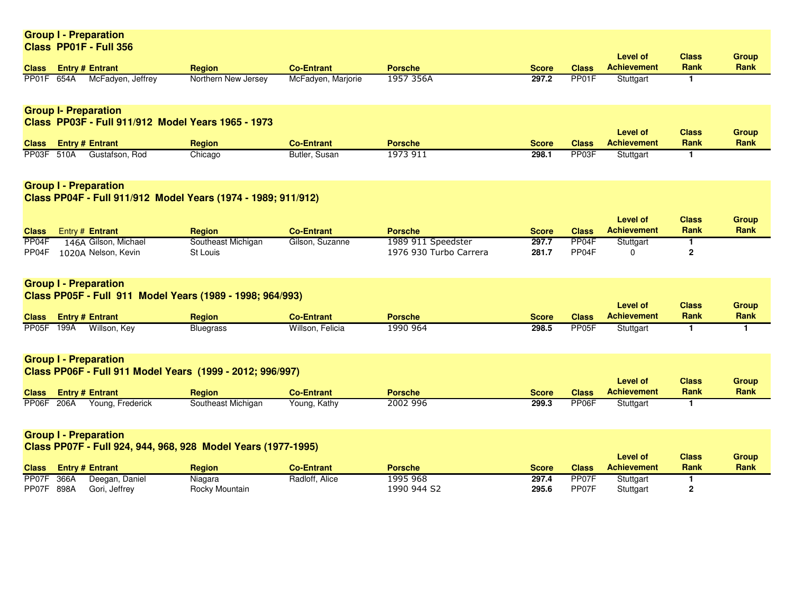|                                                                                                       |  | <b>Group I - Preparation</b>                |                                                               |                    |                            |              |                                   |                                       |                      |                             |  |
|-------------------------------------------------------------------------------------------------------|--|---------------------------------------------|---------------------------------------------------------------|--------------------|----------------------------|--------------|-----------------------------------|---------------------------------------|----------------------|-----------------------------|--|
|                                                                                                       |  | Class PP01F - Full 356                      |                                                               |                    |                            |              |                                   |                                       |                      |                             |  |
|                                                                                                       |  |                                             |                                                               | <b>Co-Entrant</b>  | <b>Porsche</b>             | <b>Score</b> | <b>Class</b>                      | <b>Level of</b><br><b>Achievement</b> | <b>Class</b><br>Rank | <b>Group</b><br>Rank        |  |
| <b>Class</b><br>PP01F 654A                                                                            |  | <b>Entry # Entrant</b><br>McFadyen, Jeffrey | <b>Region</b><br>Northern New Jersey                          | McFadyen, Marjorie | 1957 356A                  | 297.2        | PP01F                             | Stuttgart                             | 1                    |                             |  |
|                                                                                                       |  |                                             |                                                               |                    |                            |              |                                   |                                       |                      |                             |  |
|                                                                                                       |  | <b>Group I- Preparation</b>                 |                                                               |                    |                            |              |                                   |                                       |                      |                             |  |
| Class PP03F - Full 911/912 Model Years 1965 - 1973<br><b>Level of</b><br><b>Class</b><br><b>Group</b> |  |                                             |                                                               |                    |                            |              |                                   |                                       |                      |                             |  |
| <b>Class</b>                                                                                          |  | <b>Entry # Entrant</b>                      | <b>Region</b>                                                 | <b>Co-Entrant</b>  | <b>Porsche</b>             | <b>Score</b> | <b>Class</b>                      | <b>Achievement</b>                    | Rank                 | <b>Rank</b>                 |  |
| PP03F 510A                                                                                            |  | Gustafson, Rod                              | Chicago                                                       | Butler, Susan      | 1973 911                   | 298.1        | PP03F                             | Stuttgart                             | 1                    |                             |  |
|                                                                                                       |  |                                             |                                                               |                    |                            |              |                                   |                                       |                      |                             |  |
|                                                                                                       |  | <b>Group I - Preparation</b>                |                                                               |                    |                            |              |                                   |                                       |                      |                             |  |
| Class PP04F - Full 911/912 Model Years (1974 - 1989; 911/912)                                         |  |                                             |                                                               |                    |                            |              |                                   |                                       |                      |                             |  |
|                                                                                                       |  |                                             |                                                               |                    |                            |              |                                   | <b>Level of</b>                       | <b>Class</b>         | <b>Group</b>                |  |
| <b>Class</b>                                                                                          |  | Entry # Entrant                             | <b>Region</b>                                                 | <b>Co-Entrant</b>  | <b>Porsche</b>             | <b>Score</b> | <b>Class</b>                      | <b>Achievement</b>                    | Rank                 | Rank                        |  |
| PP <sub>04</sub> F                                                                                    |  | 146A Gilson, Michael                        | Southeast Michigan                                            | Gilson, Suzanne    | 1989 911 Speedster         | 297.7        | PP04F                             | Stuttgart                             | 1                    |                             |  |
| PP04F                                                                                                 |  | 1020A Nelson, Kevin                         | St Louis                                                      |                    | 1976 930 Turbo Carrera     | 281.7        | PP <sub>04</sub> F                | 0                                     | $\overline{2}$       |                             |  |
|                                                                                                       |  | <b>Group I - Preparation</b>                |                                                               |                    |                            |              |                                   |                                       |                      |                             |  |
|                                                                                                       |  |                                             | Class PP05F - Full 911 Model Years (1989 - 1998; 964/993)     |                    |                            |              |                                   |                                       |                      |                             |  |
|                                                                                                       |  |                                             |                                                               |                    |                            |              |                                   | <b>Level of</b>                       | <b>Class</b>         | <b>Group</b>                |  |
| <b>Class</b>                                                                                          |  | <b>Entry # Entrant</b>                      | <b>Region</b>                                                 | <b>Co-Entrant</b>  | <b>Porsche</b>             | <b>Score</b> | <b>Class</b>                      | <b>Achievement</b>                    | Rank                 | <b>Rank</b>                 |  |
| PP05F 199A                                                                                            |  | Willson, Key                                | <b>Bluegrass</b>                                              | Willson, Felicia   | 1990 964                   | 298.5        | PP05F                             | Stuttgart                             | $\mathbf{1}$         | $\mathbf{1}$                |  |
|                                                                                                       |  |                                             |                                                               |                    |                            |              |                                   |                                       |                      |                             |  |
| <b>Group I - Preparation</b><br>Class PP06F - Full 911 Model Years (1999 - 2012; 996/997)             |  |                                             |                                                               |                    |                            |              |                                   |                                       |                      |                             |  |
|                                                                                                       |  |                                             |                                                               |                    |                            |              |                                   | <b>Level of</b><br><b>Achievement</b> | <b>Class</b><br>Rank | <b>Group</b><br><b>Rank</b> |  |
| <b>Class</b><br>PP06F 206A                                                                            |  | <b>Entry # Entrant</b>                      | <b>Region</b>                                                 | <b>Co-Entrant</b>  | <b>Porsche</b><br>2002 996 | <b>Score</b> | <b>Class</b><br>PP <sub>06F</sub> |                                       |                      |                             |  |
|                                                                                                       |  | Young, Frederick                            | Southeast Michigan                                            | Young, Kathy       |                            | 299.3        |                                   | Stuttgart                             | $\mathbf{1}$         |                             |  |
|                                                                                                       |  | <b>Group I - Preparation</b>                |                                                               |                    |                            |              |                                   |                                       |                      |                             |  |
|                                                                                                       |  |                                             | Class PP07F - Full 924, 944, 968, 928 Model Years (1977-1995) |                    |                            |              |                                   |                                       |                      |                             |  |
|                                                                                                       |  |                                             |                                                               |                    |                            |              |                                   | <b>Level of</b>                       | <b>Class</b>         | <b>Group</b>                |  |

| <b>Class</b> | <b>Entry # Entrant</b> |                | <b>Region</b>  | <b>Co-Entrant</b> | <b>Porsche</b> | Score | <b>Class</b>       | <b>Achievement</b> | <b>Rank</b> | <b>Rank</b> |
|--------------|------------------------|----------------|----------------|-------------------|----------------|-------|--------------------|--------------------|-------------|-------------|
| PP07F        | 366A                   | Deegan, Daniel | Niagara        | Radloff, Alice    | 1995 968       | 297.4 | PP07F              | Stuttgart          |             |             |
| PP07F        | 898A                   | Gori, Jeffrey  | Rocky Mountain |                   | 1990 944 S2    | 295.6 | PP <sub>07</sub> F | Stuttgart          |             |             |